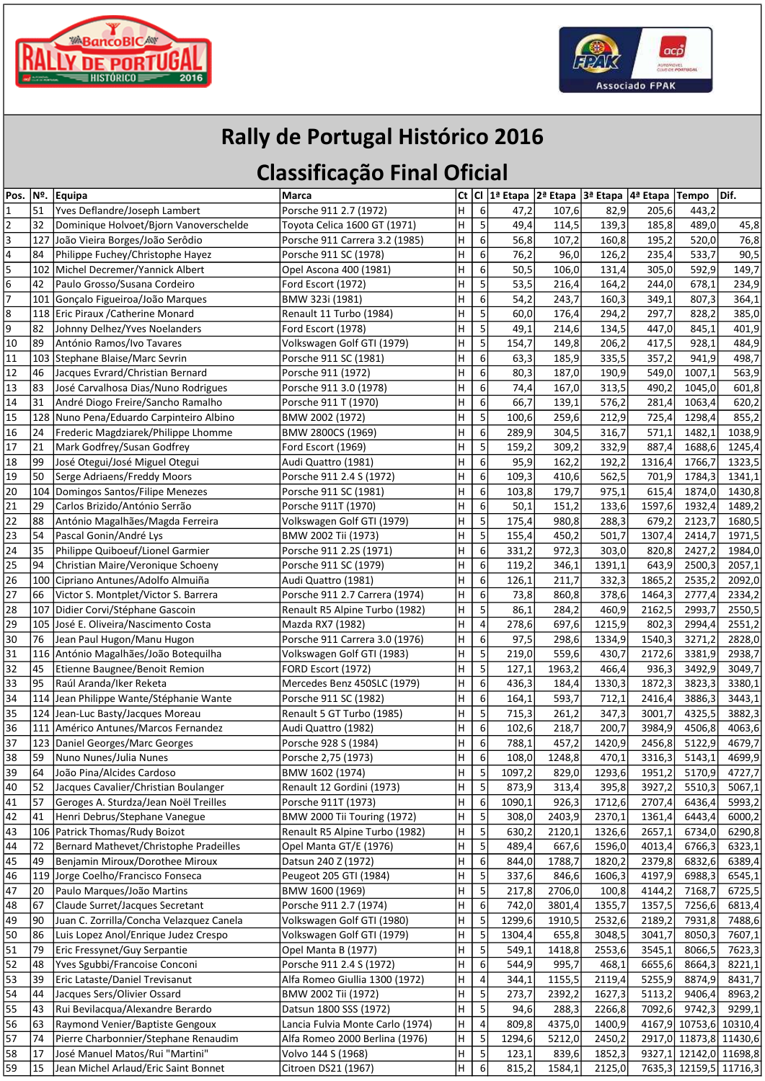



## Rally de Portugal Histórico 2016

## Classificação Final Oficial

| Pos.                        | Nº. | Equipa                                   | Marca                              | <b>Ct</b> |                  |        | Cl  1ª Etapa  2ª Etapa  3ª Etapa  4ª Etapa |        |        | <b>Tempo</b>           | Dif.   |
|-----------------------------|-----|------------------------------------------|------------------------------------|-----------|------------------|--------|--------------------------------------------|--------|--------|------------------------|--------|
| $\vert$ 1                   | 51  | Yves Deflandre/Joseph Lambert            | Porsche 911 2.7 (1972)             | H         | $\boldsymbol{6}$ | 47,2   | 107,6                                      | 82,9   | 205,6  | 443,2                  |        |
| $\overline{2}$              | 32  | Dominique Holvoet/Bjorn Vanoverschelde   | Toyota Celica 1600 GT (1971)       | Н         | 5                | 49,4   | 114,5                                      | 139,3  | 185,8  | 489,0                  | 45,8   |
| $\overline{3}$              | 127 | João Vieira Borges/João Serôdio          | Porsche 911 Carrera 3.2 (1985)     | н         | 6                | 56,8   | 107,2                                      | 160,8  | 195,2  | 520,0                  | 76,8   |
|                             | 84  | Philippe Fuchey/Christophe Hayez         | Porsche 911 SC (1978)              | н         | 6                | 76,2   | 96,0                                       | 126,2  | 235,4  | 533,7                  | 90,5   |
| $\frac{4}{5}$ $\frac{5}{6}$ | 102 | Michel Decremer/Yannick Albert           | Opel Ascona 400 (1981)             | Н         | 6                | 50,5   | 106,0                                      | 131,4  | 305,0  | 592,9                  | 149,7  |
|                             | 42  | Paulo Grosso/Susana Cordeiro             | Ford Escort (1972)                 | H         | 5                | 53,5   | 216,4                                      | 164,2  | 244,0  | 678,1                  | 234,9  |
| 7                           |     | 101 Gonçalo Figueiroa/João Marques       | BMW 323i (1981)                    | н         | 6                | 54,2   | 243,7                                      | 160,3  | 349,1  | 807,3                  | 364,1  |
| $\overline{8}$              |     | 118 Eric Piraux / Catherine Monard       | Renault 11 Turbo (1984)            | Η         | 5                | 60,0   | 176,4                                      | 294,2  | 297,7  | 828,2                  | 385,0  |
| $\overline{9}$              | 82  | Johnny Delhez/Yves Noelanders            | Ford Escort (1978)                 | Η         | 5                | 49,1   | 214,6                                      | 134,5  | 447,0  | 845,1                  | 401,9  |
| 10                          | 89  | António Ramos/Ivo Tavares                | Volkswagen Golf GTI (1979)         | Н         | 5                | 154,7  | 149,8                                      | 206,2  | 417,5  | 928,1                  | 484,9  |
| 11                          | 103 | Stephane Blaise/Marc Sevrin              | Porsche 911 SC (1981)              | Η         | 6                | 63,3   | 185,9                                      | 335,5  | 357,2  | 941,9                  | 498,7  |
| 12                          | 46  | Jacques Evrard/Christian Bernard         | Porsche 911 (1972)                 | Η         | 6                | 80,3   | 187,0                                      | 190,9  | 549,0  | 1007,1                 | 563,9  |
| 13                          | 83  | José Carvalhosa Dias/Nuno Rodrigues      | Porsche 911 3.0 (1978)             | Η         | 6                | 74,4   | 167,0                                      | 313,5  | 490,2  | 1045,0                 | 601,8  |
| 14                          | 31  | André Diogo Freire/Sancho Ramalho        | Porsche 911 T (1970)               | Η         | 6                | 66,7   | 139,1                                      | 576,2  | 281,4  | 1063,4                 | 620,2  |
| 15                          | 128 | Nuno Pena/Eduardo Carpinteiro Albino     | BMW 2002 (1972)                    | Η         | 5                | 100,6  | 259,6                                      | 212,9  | 725,4  | 1298,4                 | 855,2  |
| 16                          | 24  | Frederic Magdziarek/Philippe Lhomme      | BMW 2800CS (1969)                  | Η         | 6                | 289,9  | 304,5                                      | 316,7  | 571,1  | 1482,1                 | 1038,9 |
| 17                          | 21  | Mark Godfrey/Susan Godfrey               | Ford Escort (1969)                 | Η         | 5                | 159,2  | 309,2                                      | 332,9  | 887,4  | 1688,6                 | 1245,4 |
| 18                          | 99  | José Otegui/José Miguel Otegui           | Audi Quattro (1981)                | н         | 6                | 95,9   | 162,2                                      | 192,2  | 1316,4 | 1766,7                 | 1323,5 |
| 19                          | 50  | Serge Adriaens/Freddy Moors              | Porsche 911 2.4 S (1972)           | H         | 6                | 109,3  | 410,6                                      | 562,5  | 701,9  | 1784,3                 | 1341,1 |
| 20                          | 104 | Domingos Santos/Filipe Menezes           | Porsche 911 SC (1981)              | н         | 6                | 103,8  | 179,7                                      | 975,1  | 615,4  | 1874,0                 | 1430,8 |
| 21                          | 29  | Carlos Brizido/António Serrão            | Porsche 911T (1970)                | Н         | 6                | 50,1   | 151,2                                      | 133,6  | 1597,6 | 1932,4                 | 1489,2 |
| $\sqrt{22}$                 | 88  | António Magalhães/Magda Ferreira         | Volkswagen Golf GTI (1979)         | Н         | 5                | 175,4  | 980,8                                      | 288,3  | 679,2  | 2123,7                 | 1680,5 |
| 23                          | 54  | Pascal Gonin/André Lys                   | BMW 2002 Tii (1973)                | Η         | 5                | 155,4  | 450,2                                      | 501,7  | 1307,4 | 2414,7                 | 1971,5 |
| 24                          | 35  | Philippe Quiboeuf/Lionel Garmier         | Porsche 911 2.2S (1971)            | H         | 6                | 331,2  | 972,3                                      | 303,0  | 820,8  | 2427,2                 | 1984,0 |
| $\sqrt{25}$                 | 94  | Christian Maire/Veronique Schoeny        | Porsche 911 SC (1979)              | Η         | 6                | 119,2  | 346,1                                      | 1391,1 | 643,9  | 2500,3                 | 2057,1 |
| 26                          | 100 | Cipriano Antunes/Adolfo Almuiña          | Audi Quattro (1981)                | Η         | 6                | 126,1  | 211,7                                      | 332,3  | 1865,2 | 2535,2                 | 2092,0 |
| 27                          | 66  | Victor S. Montplet/Victor S. Barrera     | Porsche 911 2.7 Carrera (1974)     | Н         | 6                | 73,8   | 860,8                                      | 378,6  | 1464,3 | 2777,4                 | 2334,2 |
| 28                          | 107 | Didier Corvi/Stéphane Gascoin            | Renault R5 Alpine Turbo (1982)     | н         | 5                | 86,1   | 284,2                                      | 460,9  | 2162,5 | 2993,7                 | 2550,5 |
| 29                          | 105 | José E. Oliveira/Nascimento Costa        | Mazda RX7 (1982)                   | н         | $\pmb{4}$        | 278,6  | 697,6                                      | 1215,9 | 802,3  | 2994,4                 | 2551,2 |
| 30                          | 76  | Jean Paul Hugon/Manu Hugon               | Porsche 911 Carrera 3.0 (1976)     | H         | 6                | 97,5   | 298,6                                      | 1334,9 | 1540,3 | 3271,2                 | 2828,0 |
| 31                          |     | 116 António Magalhães/João Botequilha    | Volkswagen Golf GTI (1983)         | н         | 5                | 219,0  | 559,6                                      | 430,7  | 2172,6 | 3381,9                 | 2938,7 |
| 32                          | 45  | Etienne Baugnee/Benoit Remion            | FORD Escort (1972)                 | Η         | 5                | 127,1  | 1963,2                                     | 466,4  | 936,3  | 3492,9                 | 3049,7 |
| 33                          | 95  | Raúl Aranda/Iker Reketa                  | Mercedes Benz 450SLC (1979)        | Н         | $\boldsymbol{6}$ | 436,3  | 184,4                                      | 1330,3 | 1872,3 | 3823,3                 | 3380,1 |
| 34                          |     | 114 Jean Philippe Wante/Stéphanie Wante  | Porsche 911 SC (1982)              | Н         | 6                | 164,1  | 593,7                                      | 712,1  | 2416,4 | 3886,3                 | 3443,1 |
| 35                          | 124 | Jean-Luc Basty/Jacques Moreau            | Renault 5 GT Turbo (1985)          | Н         | 5                | 715,3  | 261,2                                      | 347,3  | 3001,7 | 4325,5                 | 3882,3 |
| 36                          | 111 | Américo Antunes/Marcos Fernandez         | Audi Quattro (1982)                | Η         | $\boldsymbol{6}$ | 102,6  | 218,7                                      | 200,7  | 3984,9 | 4506,8                 | 4063,6 |
| 37                          |     | 123 Daniel Georges/Marc Georges          | Porsche 928 S (1984)               | н         | 6                | 788,1  | 457,2                                      | 1420,9 | 2456,8 | 5122,9                 | 4679,7 |
| 38                          | 59  | Nuno Nunes/Julia Nunes                   | Porsche 2,75 (1973)                | Н         | 6                | 108,0  | 1248,8                                     | 470,1  | 3316,3 | 5143,1                 | 4699,9 |
| $\sqrt{39}$                 | 64  | João Pina/Alcides Cardoso                | BMW 1602 (1974)                    | H         | 5                | 1097,2 | 829,0                                      | 1293,6 | 1951,2 | 5170,9                 | 4727,7 |
| 40                          | 52  | Jacques Cavalier/Christian Boulanger     | Renault 12 Gordini (1973)          | Н         | 5                | 873,9  | 313,4                                      | 395,8  | 3927,2 | 5510,3                 | 5067,1 |
| 41                          | 57  | Geroges A. Sturdza/Jean Noël Treilles    | Porsche 911T (1973)                | Н         | $\boldsymbol{6}$ | 1090,1 | 926,3                                      | 1712,6 | 2707,4 | 6436,4                 | 5993,2 |
| 42                          | 41  | Henri Debrus/Stephane Vanegue            | <b>BMW 2000 Tii Touring (1972)</b> | Н         | 5                | 308,0  | 2403,9                                     | 2370,1 | 1361,4 | 6443,4                 | 6000,2 |
| 43                          | 106 | Patrick Thomas/Rudy Boizot               | Renault R5 Alpine Turbo (1982)     | H         | 5                | 630,2  | 2120,1                                     | 1326,6 | 2657,1 | 6734,0                 | 6290,8 |
| 44                          | 72  | Bernard Mathevet/Christophe Pradeilles   | Opel Manta GT/E (1976)             | н         | 5                | 489,4  | 667,6                                      | 1596,0 | 4013,4 | 6766,3                 | 6323,1 |
| 45                          | 49  | Benjamin Miroux/Dorothee Miroux          | Datsun 240 Z (1972)                | Н         | $\boldsymbol{6}$ | 844,0  | 1788,7                                     | 1820,2 | 2379,8 | 6832,6                 | 6389,4 |
| 46                          | 119 | Jorge Coelho/Francisco Fonseca           | Peugeot 205 GTI (1984)             | Н         | 5                | 337,6  | 846,6                                      | 1606,3 | 4197,9 | 6988,3                 | 6545,1 |
| 47                          | 20  | Paulo Marques/João Martins               | BMW 1600 (1969)                    | Н         | $\mathsf S$      | 217,8  | 2706,0                                     | 100,8  | 4144,2 | 7168,7                 | 6725,5 |
| 48                          | 67  | Claude Surret/Jacques Secretant          | Porsche 911 2.7 (1974)             | Н         | $\boldsymbol{6}$ | 742,0  | 3801,4                                     | 1355,7 | 1357,5 | 7256,6                 | 6813,4 |
| 49                          | 90  | Juan C. Zorrilla/Concha Velazquez Canela | Volkswagen Golf GTI (1980)         | Н         | 5                | 1299,6 | 1910,5                                     | 2532,6 | 2189,2 | 7931,8                 | 7488,6 |
| 50                          | 86  | Luis Lopez Anol/Enrique Judez Crespo     | Volkswagen Golf GTI (1979)         | н         | 5                | 1304,4 | 655,8                                      | 3048,5 | 3041,7 | 8050,3                 | 7607,1 |
| 51                          | 79  | Eric Fressynet/Guy Serpantie             | Opel Manta B (1977)                | Η         | 5                | 549,1  | 1418,8                                     | 2553,6 | 3545,1 | 8066,5                 | 7623,3 |
| 52                          | 48  | Yves Sgubbi/Francoise Conconi            | Porsche 911 2.4 S (1972)           | Н         | 6                | 544,9  | 995,7                                      | 468,1  | 6655,6 | 8664,3                 | 8221,1 |
| 53                          | 39  | Eric Lataste/Daniel Trevisanut           | Alfa Romeo Giullia 1300 (1972)     | Н         | 4                | 344,1  | 1155,5                                     | 2119,4 | 5255,9 | 8874,9                 | 8431,7 |
| 54                          | 44  | Jacques Sers/Olivier Ossard              | BMW 2002 Tii (1972)                | н         | 5                | 273,7  | 2392,2                                     | 1627,3 | 5113,2 | 9406,4                 | 8963,2 |
| 55                          | 43  | Rui Bevilacqua/Alexandre Berardo         | Datsun 1800 SSS (1972)             | H         | 5                | 94,6   | 288,3                                      | 2266,8 | 7092,6 | 9742,3                 | 9299,1 |
| $\overline{56}$             | 63  | Raymond Venier/Baptiste Gengoux          | Lancia Fulvia Monte Carlo (1974)   | H         | 4                | 809,8  | 4375,0                                     | 1400,9 |        | 4167,9 10753,6 10310,4 |        |
| 57                          | 74  | Pierre Charbonnier/Stephane Renaudim     | Alfa Romeo 2000 Berlina (1976)     | H         | 5                | 1294,6 | 5212,0                                     | 2450,2 |        | 2917,0 11873,8 11430,6 |        |
| 58                          | 17  | José Manuel Matos/Rui "Martini"          | Volvo 144 S (1968)                 | H         | 5                | 123,1  | 839,6                                      | 1852,3 |        | 9327,1 12142,0 11698,8 |        |
| 59                          | 15  | Jean Michel Arlaud/Eric Saint Bonnet     | Citroen DS21 (1967)                | H         | $\boldsymbol{6}$ | 815,2  | 1584,1                                     | 2125,0 |        | 7635,3 12159,5 11716,3 |        |